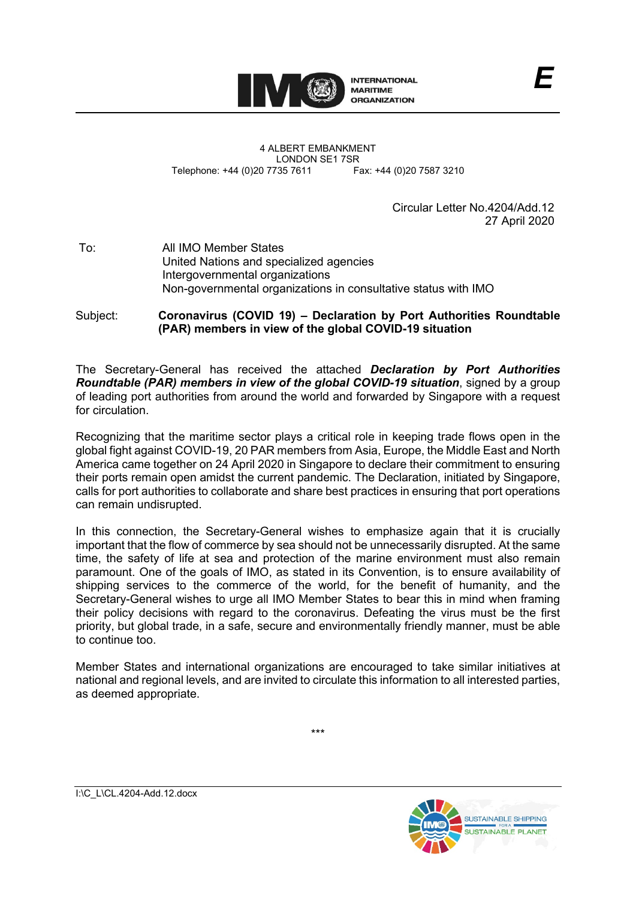

4 ALBERT EMBANKMENT LONDON SE1 7SR<br>735 7611 Fax: +44 (0)20 7587 3210 Telephone: +44 (0)20 7735 7611

> Circular Letter No.4204/Add.12 27 April 2020

*E*

To: All IMO Member States United Nations and specialized agencies Intergovernmental organizations Non-governmental organizations in consultative status with IMO

Subject: **Coronavirus (COVID 19) – Declaration by Port Authorities Roundtable (PAR) members in view of the global COVID-19 situation**

The Secretary-General has received the attached *Declaration by Port Authorities Roundtable (PAR) members in view of the global COVID-19 situation*, signed by a group of leading port authorities from around the world and forwarded by Singapore with a request for circulation.

Recognizing that the maritime sector plays a critical role in keeping trade flows open in the global fight against COVID-19, 20 PAR members from Asia, Europe, the Middle East and North America came together on 24 April 2020 in Singapore to declare their commitment to ensuring their ports remain open amidst the current pandemic. The Declaration, initiated by Singapore, calls for port authorities to collaborate and share best practices in ensuring that port operations can remain undisrupted.

In this connection, the Secretary-General wishes to emphasize again that it is crucially important that the flow of commerce by sea should not be unnecessarily disrupted. At the same time, the safety of life at sea and protection of the marine environment must also remain paramount. One of the goals of IMO, as stated in its Convention, is to ensure availability of shipping services to the commerce of the world, for the benefit of humanity, and the Secretary-General wishes to urge all IMO Member States to bear this in mind when framing their policy decisions with regard to the coronavirus. Defeating the virus must be the first priority, but global trade, in a safe, secure and environmentally friendly manner, must be able to continue too.

Member States and international organizations are encouraged to take similar initiatives at national and regional levels, and are invited to circulate this information to all interested parties, as deemed appropriate.

\*\*\*



I:\C\_L\CL.4204-Add.12.docx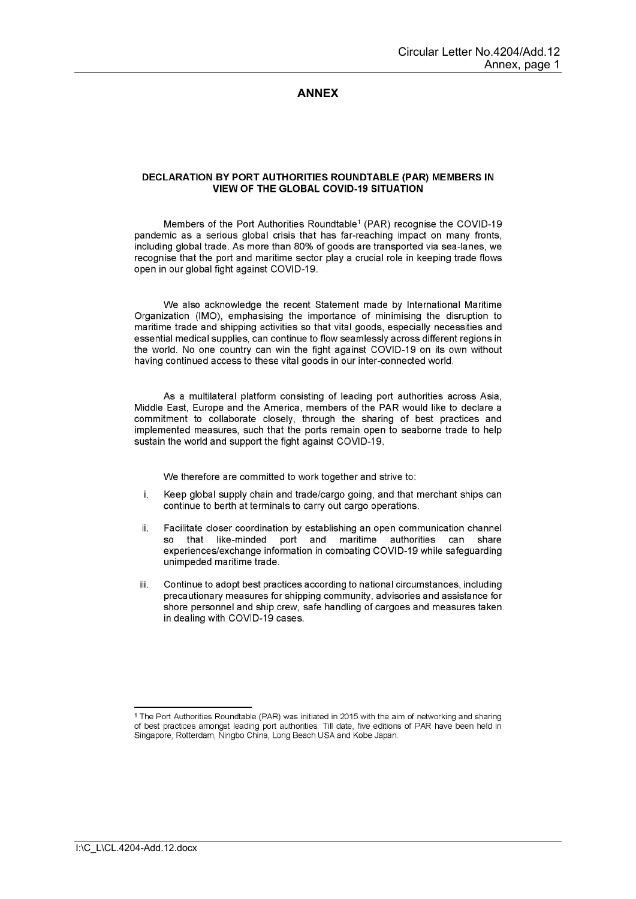## **ANNEX**

## **DECLARATION BY PORT AUTHORITIES ROUNDTABLE (PAR) MEMBERS IN VIEW OF THE GLOBAL COVID-19 SITUATION**

Members of the Port Authorities Roundtable<sup>1</sup> (PAR) recognise the COVID-19 pandemic as a serious global crisis that has far-reaching impact on many fronts, including global trade. As more than 80% of goods are transported via sea-lanes, we recognise that the port and maritime sector play a crucial role in keeping trade flows open in our global fight against COVID-19.

We also acknowledge the recent Statement made by International Maritime Organization (IMO), emphasising the importance of minimising the disruption to maritime trade and shipping activities so that vital goods, especially necessities and essential medical supplies, can continue to flow seamlessly across different regions in the world. No one country can win the fight against COVID-19 on its own without having continued access to these vital goods in our inter-connected world.

As a multilateral platform consisting of leading port authorities across Asia, Middle East, Europe and the America, members of the PAR would like to declare a commitment to collaborate closely, through the sharing of best practices and implemented measures, such that the ports remain open to seaborne trade to help sustain the world and support the fight against COVID-19.

We therefore are committed to work together and strive to:

- í. Keep global supply chain and trade/cargo going, and that merchant ships can continue to berth at terminals to carry out cargo operations.
- ii. Facilitate closer coordination by establishing an open communication channel that like-minded port and maritime authorities can share experiences/exchange information in combating COVID-19 while safeguarding unimpeded maritime trade.
- Continue to adopt best practices according to national circumstances, including iii. precautionary measures for shipping community, advisories and assistance for shore personnel and ship crew, safe handling of cargoes and measures taken in dealing with COVID-19 cases.

<sup>&</sup>lt;sup>1</sup> The Port Authorities Roundtable (PAR) was initiated in 2015 with the aim of networking and sharing of best practices amongst leading port authorities. Till date, five editions of PAR have been held in Singapore, Rotterdam, Ningbo China, Long Beach USA and Kobe Japan.